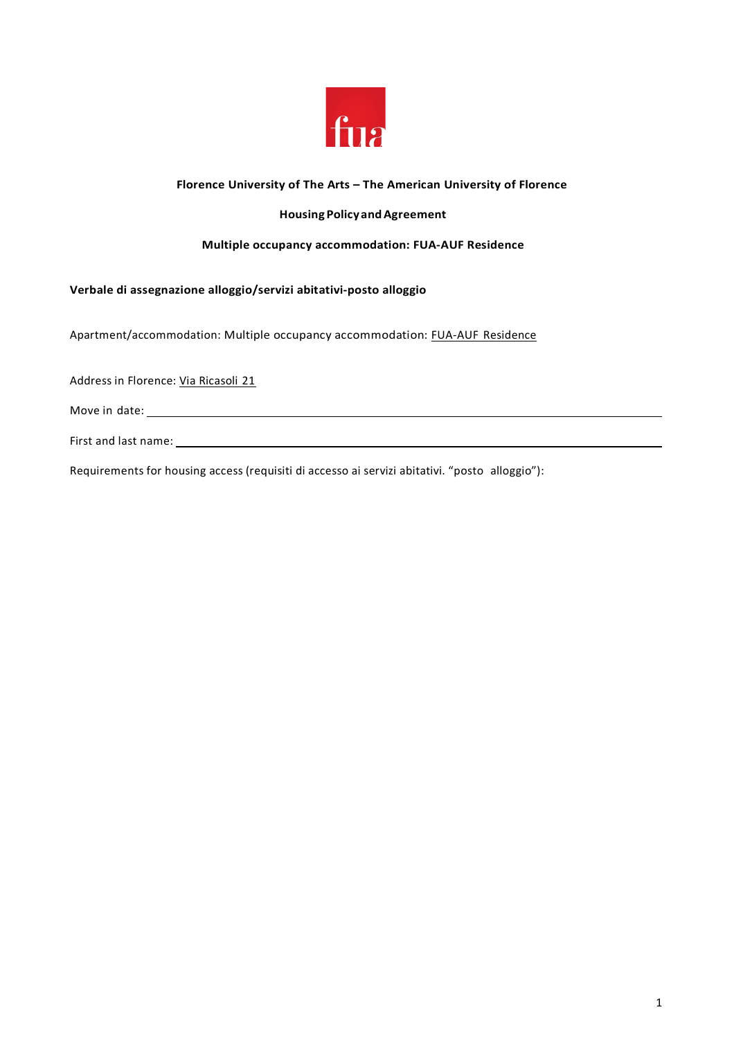

## **Florence University of The Arts – The American University of Florence**

### **Housing PolicyandAgreement**

#### **Multiple occupancy accommodation: FUA-AUF Residence**

**Verbale di assegnazione alloggio/servizi abitativi-posto alloggio**

Apartment/accommodation: Multiple occupancy accommodation: FUA-AUF Residence

Address in Florence: Via Ricasoli 21

Move in date:

First and last name:

Requirements for housing access (requisiti di accesso ai servizi abitativi. "posto alloggio"):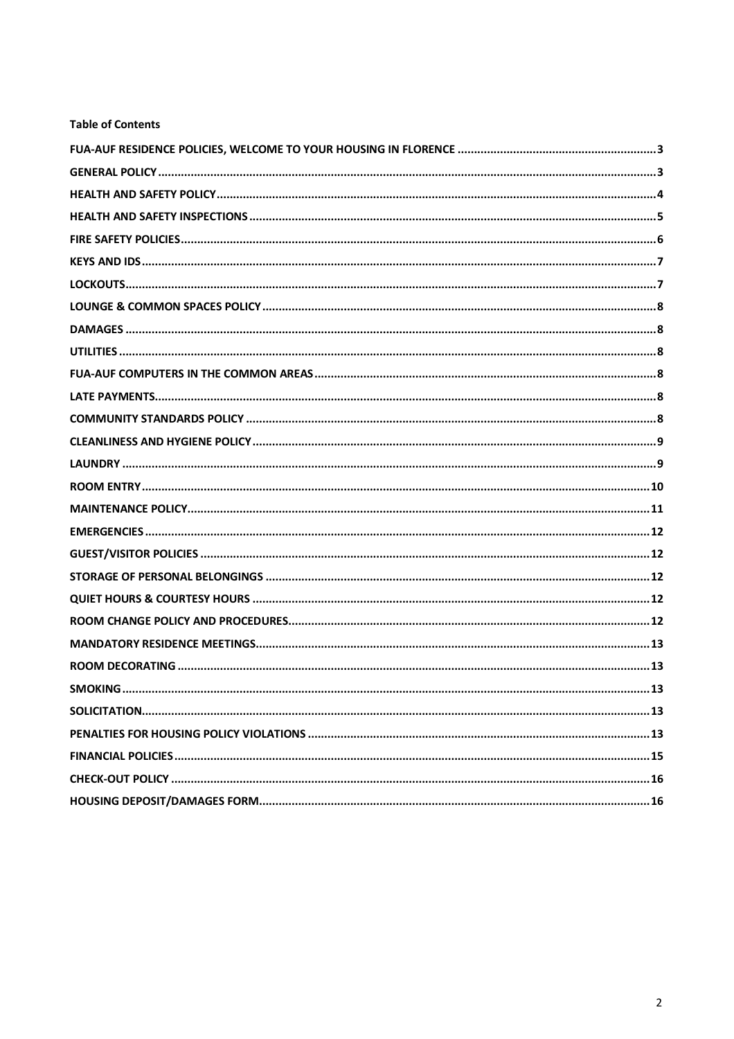# **Table of Contents**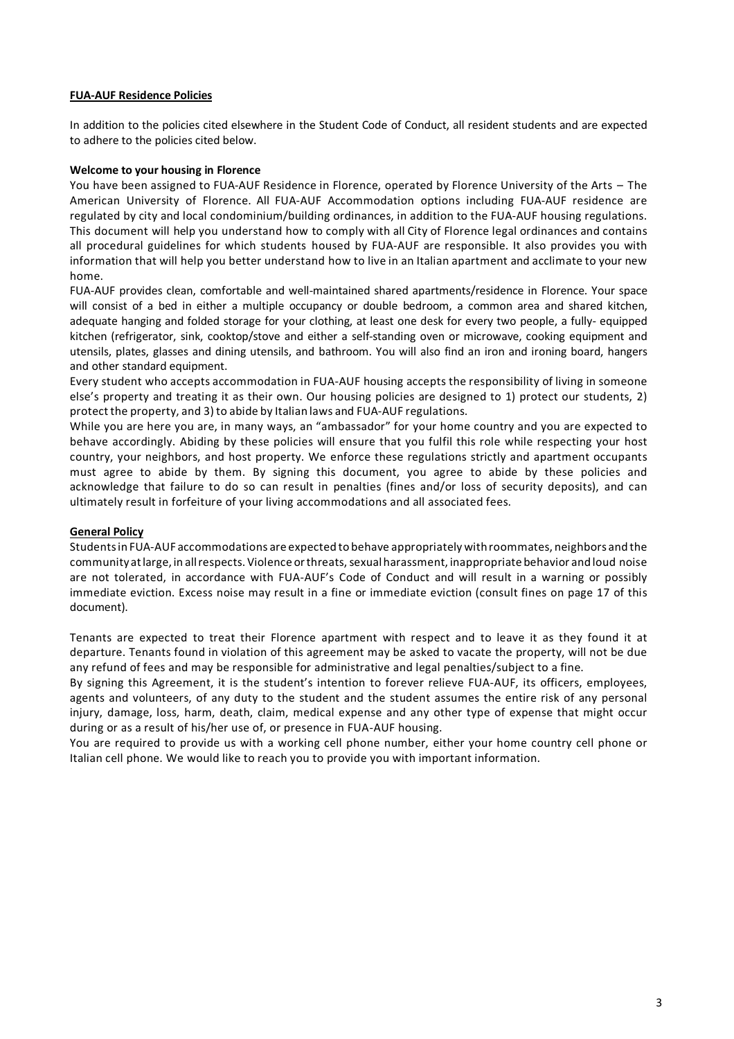#### **FUA-AUF Residence Policies**

In addition to the policies cited elsewhere in the Student Code of Conduct, all resident students and are expected to adhere to the policies cited below.

#### **Welcome to your housing in Florence**

You have been assigned to FUA-AUF Residence in Florence, operated by Florence University of the Arts – The American University of Florence. All FUA-AUF Accommodation options including FUA-AUF residence are regulated by city and local condominium/building ordinances, in addition to the FUA-AUF housing regulations. This document will help you understand how to comply with all City of Florence legal ordinances and contains all procedural guidelines for which students housed by FUA-AUF are responsible. It also provides you with information that will help you better understand how to live in an Italian apartment and acclimate to your new home.

FUA-AUF provides clean, comfortable and well-maintained shared apartments/residence in Florence. Your space will consist of a bed in either a multiple occupancy or double bedroom, a common area and shared kitchen, adequate hanging and folded storage for your clothing, at least one desk for every two people, a fully- equipped kitchen (refrigerator, sink, cooktop/stove and either a self-standing oven or microwave, cooking equipment and utensils, plates, glasses and dining utensils, and bathroom. You will also find an iron and ironing board, hangers and other standard equipment.

Every student who accepts accommodation in FUA-AUF housing accepts the responsibility of living in someone else's property and treating it as their own. Our housing policies are designed to 1) protect our students, 2) protect the property, and 3) to abide by Italian laws and FUA-AUF regulations.

While you are here you are, in many ways, an "ambassador" for your home country and you are expected to behave accordingly. Abiding by these policies will ensure that you fulfil this role while respecting your host country, your neighbors, and host property. We enforce these regulations strictly and apartment occupants must agree to abide by them. By signing this document, you agree to abide by these policies and acknowledge that failure to do so can result in penalties (fines and/or loss of security deposits), and can ultimately result in forfeiture of your living accommodations and all associated fees.

#### **General Policy**

Studentsin FUA-AUF accommodations are expected to behave appropriately withroommates, neighbors and the community at large, in all respects. Violence or threats, sexual harassment, inappropriate behavior and loud noise are not tolerated, in accordance with FUA-AUF's Code of Conduct and will result in a warning or possibly immediate eviction. Excess noise may result in a fine or immediate eviction (consult fines on page 17 of this document).

Tenants are expected to treat their Florence apartment with respect and to leave it as they found it at departure. Tenants found in violation of this agreement may be asked to vacate the property, will not be due any refund of fees and may be responsible for administrative and legal penalties/subject to a fine.

By signing this Agreement, it is the student's intention to forever relieve FUA-AUF, its officers, employees, agents and volunteers, of any duty to the student and the student assumes the entire risk of any personal injury, damage, loss, harm, death, claim, medical expense and any other type of expense that might occur during or as a result of his/her use of, or presence in FUA-AUF housing.

You are required to provide us with a working cell phone number, either your home country cell phone or Italian cell phone. We would like to reach you to provide you with important information.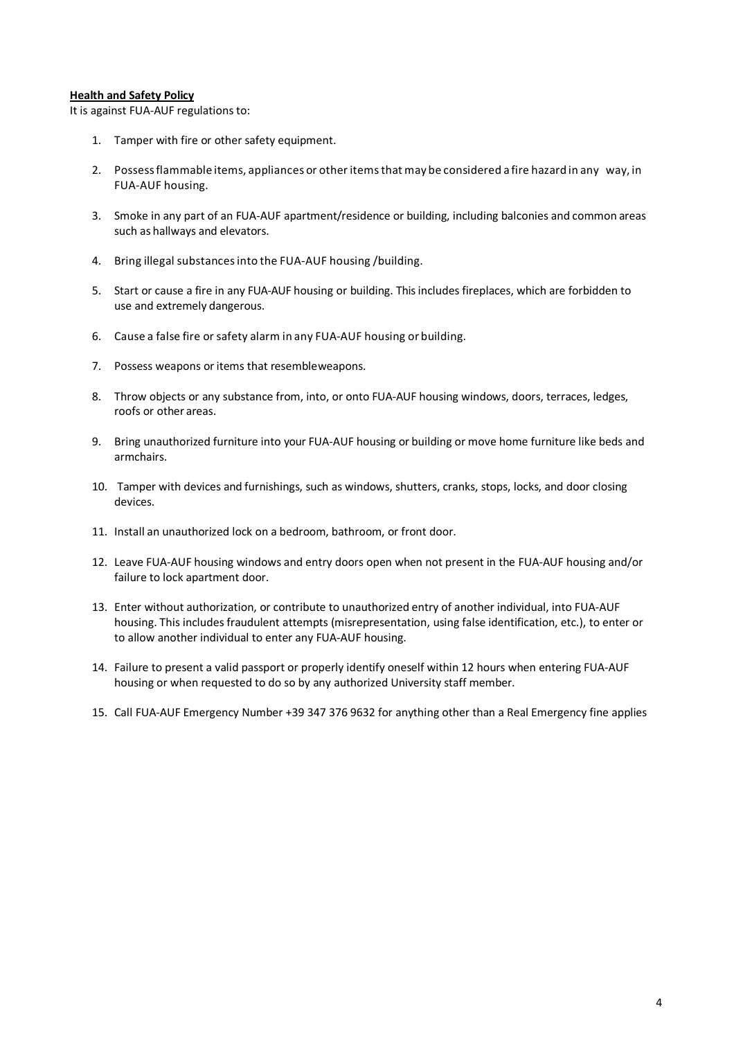#### **Health and Safety Policy**

It is against FUA-AUF regulations to:

- 1. Tamper with fire or other safety equipment.
- 2. Possessflammable items, appliances or other itemsthat may be considered a fire hazard in any way, in FUA-AUF housing.
- 3. Smoke in any part of an FUA-AUF apartment/residence or building, including balconies and common areas such as hallways and elevators.
- 4. Bring illegal substancesinto the FUA-AUF housing /building.
- 5. Start or cause a fire in any FUA-AUF housing or building. This includes fireplaces, which are forbidden to use and extremely dangerous.
- 6. Cause a false fire or safety alarm in any FUA-AUF housing or building.
- 7. Possess weapons or items that resembleweapons.
- 8. Throw objects or any substance from, into, or onto FUA-AUF housing windows, doors, terraces, ledges, roofs or other areas.
- 9. Bring unauthorized furniture into your FUA-AUF housing or building or move home furniture like beds and armchairs.
- 10. Tamper with devices and furnishings, such as windows, shutters, cranks, stops, locks, and door closing devices.
- 11. Install an unauthorized lock on a bedroom, bathroom, or front door.
- 12. Leave FUA-AUF housing windows and entry doors open when not present in the FUA-AUF housing and/or failure to lock apartment door.
- 13. Enter without authorization, or contribute to unauthorized entry of another individual, into FUA-AUF housing. This includes fraudulent attempts (misrepresentation, using false identification, etc.), to enter or to allow another individual to enter any FUA-AUF housing.
- 14. Failure to present a valid passport or properly identify oneself within 12 hours when entering FUA-AUF housing or when requested to do so by any authorized University staff member.
- 15. Call FUA-AUF Emergency Number +39 347 376 9632 for anything other than a Real Emergency fine applies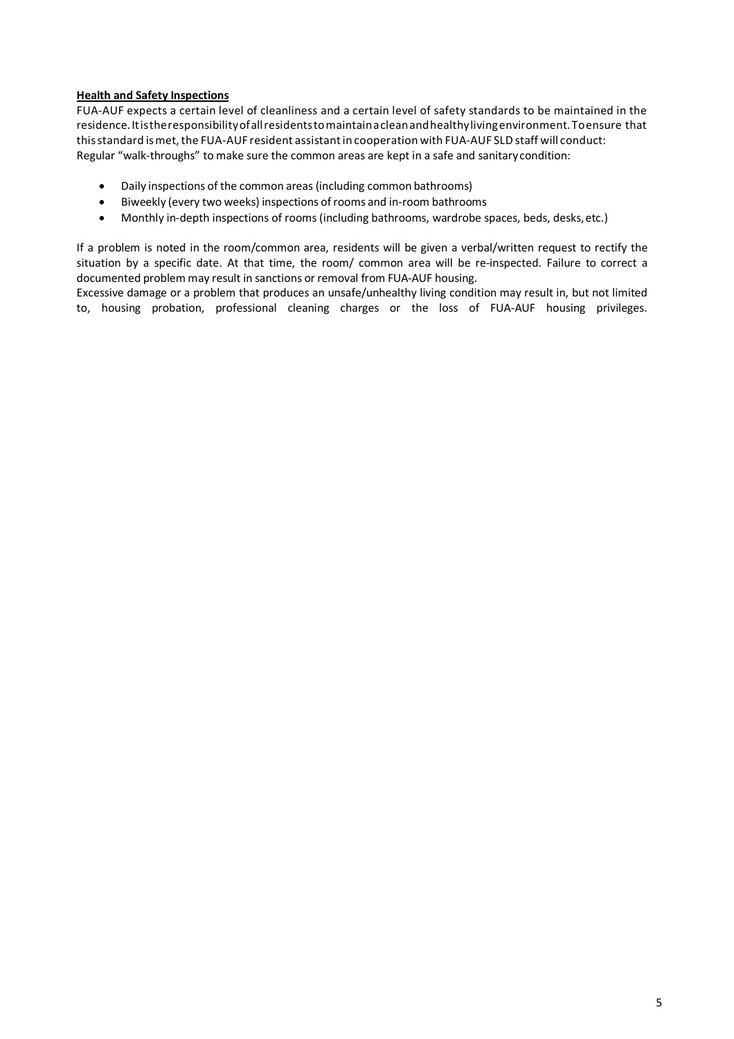### **Health and Safety Inspections**

FUA-AUF expects a certain level of cleanliness and a certain level of safety standards to be maintained in the residence.Itistheresponsibilityofallresidentstomaintainacleanandhealthylivingenvironment.Toensure that this standard is met, the FUA-AUF resident assistant in cooperation with FUA-AUF SLD staff will conduct: Regular "walk-throughs" to make sure the common areas are kept in a safe and sanitarycondition:

- Daily inspections of the common areas (including common bathrooms)
- Biweekly (every two weeks) inspections ofrooms and in-room bathrooms
- Monthly in-depth inspections of rooms (including bathrooms, wardrobe spaces, beds, desks, etc.)

If a problem is noted in the room/common area, residents will be given a verbal/written request to rectify the situation by a specific date. At that time, the room/ common area will be re-inspected. Failure to correct a documented problem may result in sanctions or removal from FUA-AUF housing.

Excessive damage or a problem that produces an unsafe/unhealthy living condition may result in, but not limited to, housing probation, professional cleaning charges or the loss of FUA-AUF housing privileges.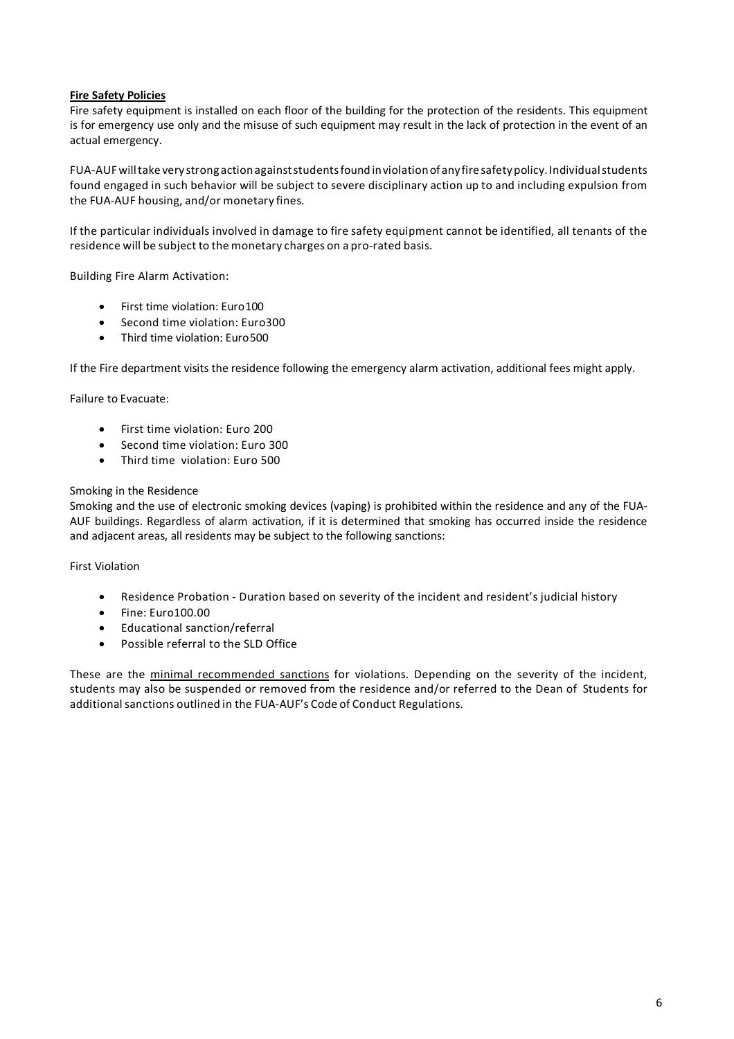### **Fire Safety Policies**

Fire safety equipment is installed on each floor of the building for the protection of the residents. This equipment is for emergency use only and the misuse of such equipment may result in the lack of protection in the event of an actual emergency.

FUA-AUFwilltake very strong actionagainststudentsfound inviolationof anyfiresafetypolicy. Individualstudents found engaged in such behavior will be subject to severe disciplinary action up to and including expulsion from the FUA-AUF housing, and/or monetary fines.

If the particular individuals involved in damage to fire safety equipment cannot be identified, all tenants of the residence will be subject to the monetary charges on a pro-rated basis.

Building Fire Alarm Activation:

- First time violation: Euro100
- Second time violation: Euro300
- Third time violation: Euro500

If the Fire department visits the residence following the emergency alarm activation, additional fees might apply.

Failure to Evacuate:

- First time violation: Euro 200
- Second time violation: Euro 300
- Third time violation: Euro 500

#### Smoking in the Residence

Smoking and the use of electronic smoking devices (vaping) is prohibited within the residence and any of the FUA-AUF buildings. Regardless of alarm activation, if it is determined that smoking has occurred inside the residence and adjacent areas, all residents may be subject to the following sanctions:

First Violation

- Residence Probation Duration based on severity of the incident and resident's judicial history
- Fine: Euro100.00
- Educational sanction/referral
- Possible referral to the SLD Office

These are the minimal recommended sanctions for violations. Depending on the severity of the incident, students may also be suspended or removed from the residence and/or referred to the Dean of Students for additional sanctions outlined in the FUA-AUF's Code of Conduct Regulations.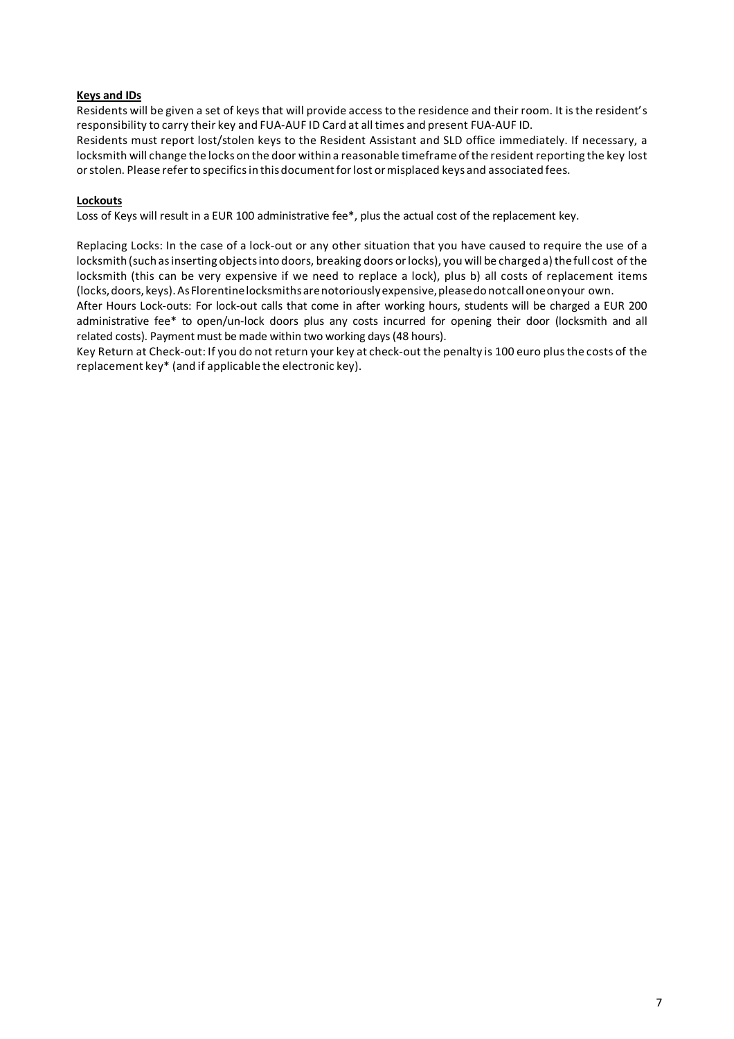## **Keys and IDs**

Residents will be given a set of keys that will provide access to the residence and their room. It isthe resident's responsibility to carry their key and FUA-AUF ID Card at all times and present FUA-AUF ID.

Residents must report lost/stolen keys to the Resident Assistant and SLD office immediately. If necessary, a locksmith will change the locks on the door within a reasonable timeframe of the residentreporting the key lost orstolen. Please refer to specificsin this documentforlost ormisplaced keys and associated fees.

### **Lockouts**

Loss of Keys will result in a EUR 100 administrative fee\*, plus the actual cost of the replacement key.

Replacing Locks: In the case of a lock-out or any other situation that you have caused to require the use of a locksmith (such as inserting objects into doors, breaking doors or locks), you will be charged a) the full cost of the locksmith (this can be very expensive if we need to replace a lock), plus b) all costs of replacement items (locks,doors, keys).AsFlorentinelocksmithsarenotoriouslyexpensive,pleasedonotcalloneonyour own.

After Hours Lock-outs: For lock-out calls that come in after working hours, students will be charged a EUR 200 administrative fee\* to open/un-lock doors plus any costs incurred for opening their door (locksmith and all related costs). Payment must be made within two working days(48 hours).

Key Return at Check-out: If you do not return your key at check-out the penalty is 100 euro plusthe costs of the replacement key\* (and if applicable the electronic key).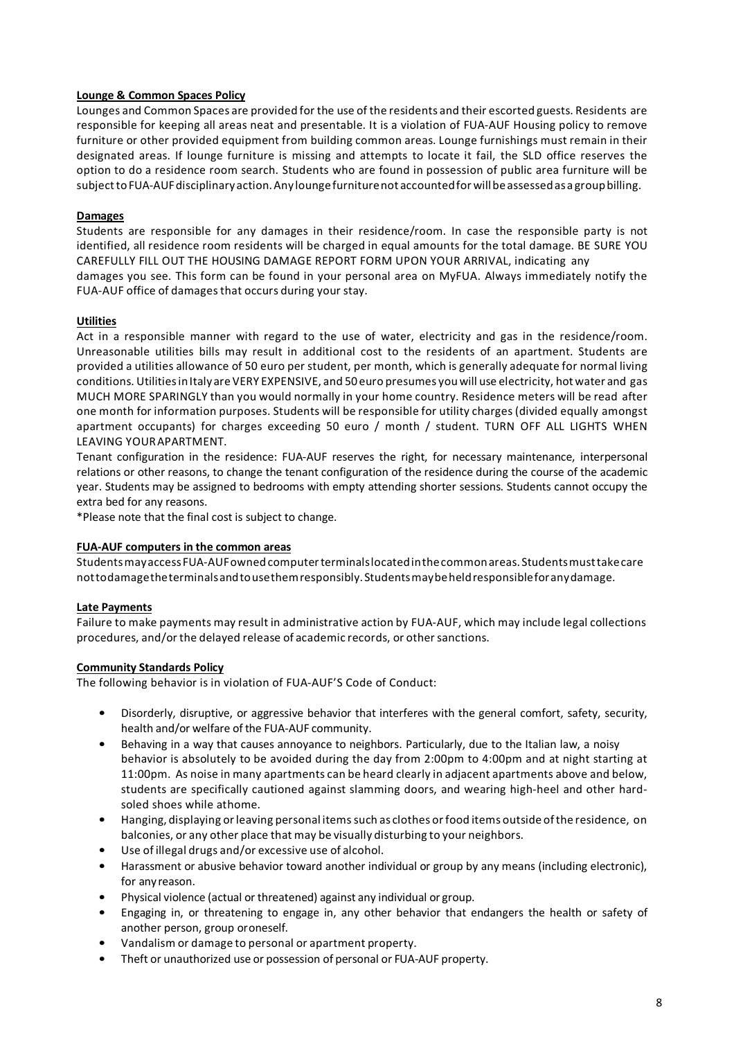### **Lounge & Common Spaces Policy**

Lounges and Common Spaces are provided for the use of the residents and their escorted guests. Residents are responsible for keeping all areas neat and presentable. It is a violation of FUA-AUF Housing policy to remove furniture or other provided equipment from building common areas. Lounge furnishings must remain in their designated areas. If lounge furniture is missing and attempts to locate it fail, the SLD office reserves the option to do a residence room search. Students who are found in possession of public area furniture will be subject to FUA-AUF disciplinary action. Any lounge furniture not accounted for will be assessed as a group billing.

### **Damages**

Students are responsible for any damages in their residence/room. In case the responsible party is not identified, all residence room residents will be charged in equal amounts for the total damage. BE SURE YOU CAREFULLY FILL OUT THE HOUSING DAMAGE REPORT FORM UPON YOUR ARRIVAL, indicating any damages you see. This form can be found in your personal area on MyFUA. Always immediately notify the FUA-AUF office of damages that occurs during your stay.

#### **Utilities**

Act in a responsible manner with regard to the use of water, electricity and gas in the residence/room. Unreasonable utilities bills may result in additional cost to the residents of an apartment. Students are provided a utilities allowance of 50 euro per student, per month, which is generally adequate for normal living conditions. Utilities in Italyare VERY EXPENSIVE, and 50 euro presumes you will use electricity, hot water and gas MUCH MORE SPARINGLY than you would normally in your home country. Residence meters will be read after one month for information purposes. Students will be responsible for utility charges (divided equally amongst apartment occupants) for charges exceeding 50 euro / month / student. TURN OFF ALL LIGHTS WHEN LEAVING YOURAPARTMENT.

Tenant configuration in the residence: FUA-AUF reserves the right, for necessary maintenance, interpersonal relations or other reasons, to change the tenant configuration of the residence during the course of the academic year. Students may be assigned to bedrooms with empty attending shorter sessions. Students cannot occupy the extra bed for any reasons.

\*Please note that the final cost is subject to change.

#### **FUA-AUF computers in the common areas**

StudentsmayaccessFUA-AUFownedcomputerterminalslocatedinthecommonareas. Studentsmusttakecare nottodamagetheterminalsandtousethemresponsibly. Studentsmaybeheldresponsibleforanydamage.

#### **Late Payments**

Failure to make payments may result in administrative action by FUA-AUF, which may include legal collections procedures, and/orthe delayed release of academic records, or othersanctions.

#### **Community Standards Policy**

The following behavior is in violation of FUA-AUF'S Code of Conduct:

- Disorderly, disruptive, or aggressive behavior that interferes with the general comfort, safety, security, health and/or welfare of the FUA-AUF community.
- Behaving in a way that causes annoyance to neighbors. Particularly, due to the Italian law, a noisy behavior is absolutely to be avoided during the day from 2:00pm to 4:00pm and at night starting at 11:00pm. As noise in many apartments can be heard clearly in adjacent apartments above and below, students are specifically cautioned against slamming doors, and wearing high-heel and other hardsoled shoes while athome.
- Hanging, displaying orleaving personal itemssuch as clothes orfood items outside ofthe residence, on balconies, or any other place that may be visually disturbing to your neighbors.
- Use of illegal drugs and/or excessive use of alcohol.
- Harassment or abusive behavior toward another individual or group by any means (including electronic), for any reason.
- Physical violence (actual or threatened) against any individual or group.
- Engaging in, or threatening to engage in, any other behavior that endangers the health or safety of another person, group oroneself.
- Vandalism or damage to personal or apartment property.
- Theft or unauthorized use or possession of personal or FUA-AUF property.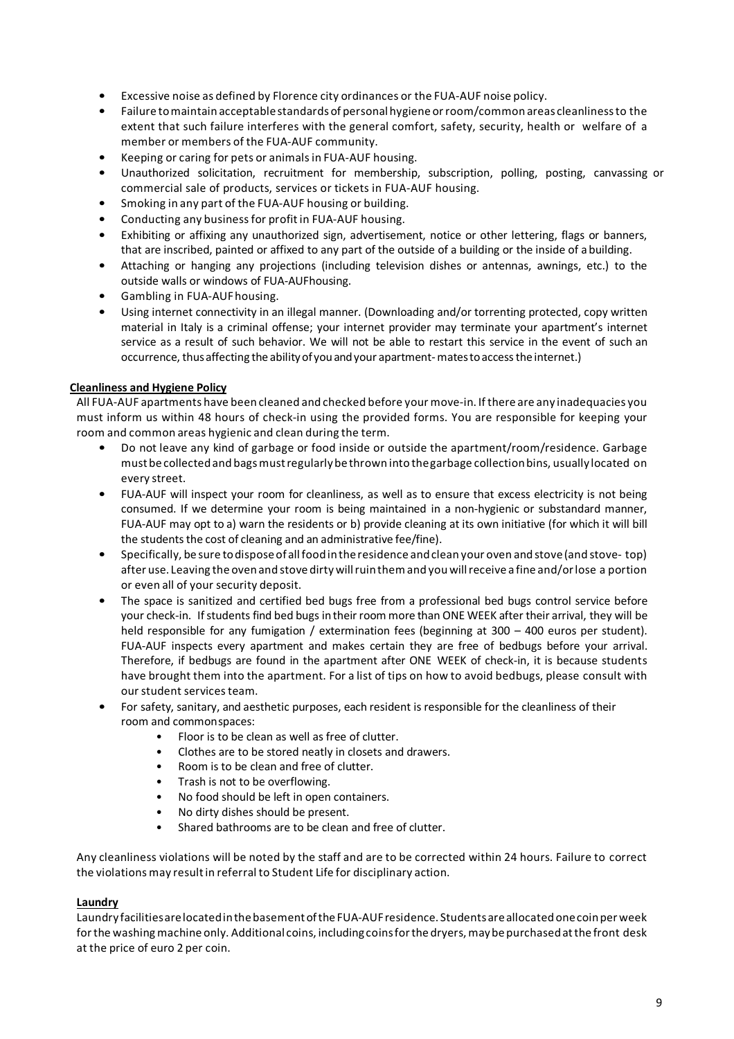- Excessive noise as defined by Florence city ordinances or the FUA-AUF noise policy.
- Failure tomaintain acceptablestandards of personalhygiene orroom/common areas cleanlinessto the extent that such failure interferes with the general comfort, safety, security, health or welfare of a member or members of the FUA-AUF community.
- Keeping or caring for pets or animalsin FUA-AUF housing.
- Unauthorized solicitation, recruitment for membership, subscription, polling, posting, canvassing or commercial sale of products, services or tickets in FUA-AUF housing.
- Smoking in any part of the FUA-AUF housing or building.
- Conducting any business for profit in FUA-AUF housing.
- Exhibiting or affixing any unauthorized sign, advertisement, notice or other lettering, flags or banners, that are inscribed, painted or affixed to any part of the outside of a building or the inside of a building.
- Attaching or hanging any projections (including television dishes or antennas, awnings, etc.) to the outside walls or windows of FUA-AUFhousing.
- Gambling in FUA-AUFhousing.
- Using internet connectivity in an illegal manner. (Downloading and/or torrenting protected, copy written material in Italy is a criminal offense; your internet provider may terminate your apartment's internet service as a result of such behavior. We will not be able to restart this service in the event of such an occurrence, thusaffecting the abilityof youandyour apartment-matestoaccesstheinternet.)

## **Cleanliness and Hygiene Policy**

All FUA-AUF apartments have been cleaned and checked before your move-in. If there are any inadequacies you must inform us within 48 hours of check-in using the provided forms. You are responsible for keeping your room and common areas hygienic and clean during the term.

- Do not leave any kind of garbage or food inside or outside the apartment/room/residence. Garbage mustbecollectedand bagsmustregularlybethrown into thegarbage collectionbins, usually located on every street.
- FUA-AUF will inspect your room for cleanliness, as well as to ensure that excess electricity is not being consumed. If we determine your room is being maintained in a non-hygienic or substandard manner, FUA-AUF may opt to a) warn the residents or b) provide cleaning at its own initiative (for which it will bill the students the cost of cleaning and an administrative fee/fine).
- Specifically, be sure todisposeof allfoodintheresidence andclean your oven and stove(and stove- top) after use. Leaving the ovenand stove dirty willruinthemand youwillreceive a fine and/orlose a portion or even all of your security deposit.
- The space is sanitized and certified bed bugs free from a professional bed bugs control service before your check-in. If students find bed bugs in their room more than ONE WEEK after their arrival, they will be held responsible for any fumigation / extermination fees (beginning at 300 – 400 euros per student). FUA-AUF inspects every apartment and makes certain they are free of bedbugs before your arrival. Therefore, if bedbugs are found in the apartment after ONE WEEK of check-in, it is because students have brought them into the apartment. For a list of tips on how to avoid bedbugs, please consult with our student services team.
- For safety, sanitary, and aesthetic purposes, each resident is responsible for the cleanliness of their room and commonspaces:
	- Floor is to be clean as well as free of clutter.
	- Clothes are to be stored neatly in closets and drawers.
	- Room is to be clean and free of clutter.
	- Trash is not to be overflowing.
	- No food should be left in open containers.
	- No dirty dishes should be present.
	- Shared bathrooms are to be clean and free of clutter.

Any cleanliness violations will be noted by the staff and are to be corrected within 24 hours. Failure to correct the violationsmay resultin referral to Student Life for disciplinary action.

## **Laundry**

Laundry facilitiesarelocatedinthebasementoftheFUA-AUFresidence. Studentsareallocatedonecoinperweek for the washing machine only. Additional coins, including coins for the dryers, may be purchased at the front desk at the price of euro 2 per coin.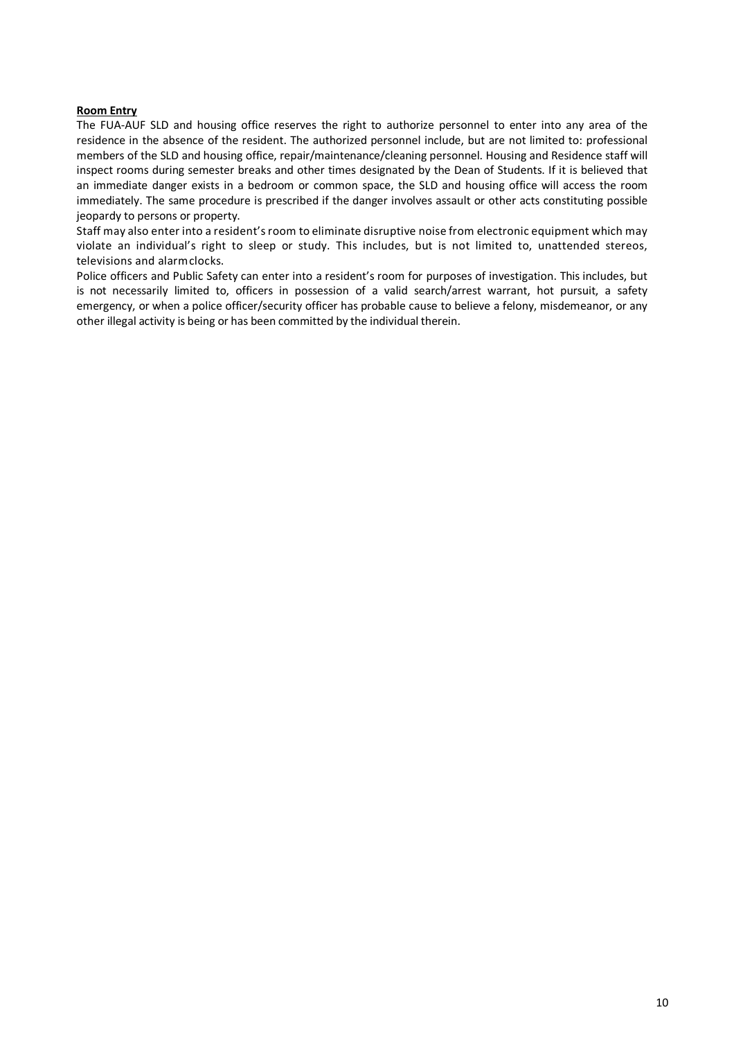#### **Room Entry**

The FUA-AUF SLD and housing office reserves the right to authorize personnel to enter into any area of the residence in the absence of the resident. The authorized personnel include, but are not limited to: professional members of the SLD and housing office, repair/maintenance/cleaning personnel. Housing and Residence staff will inspect rooms during semester breaks and other times designated by the Dean of Students. If it is believed that an immediate danger exists in a bedroom or common space, the SLD and housing office will access the room immediately. The same procedure is prescribed if the danger involves assault or other acts constituting possible jeopardy to persons or property.

Staff may also enter into a resident'sroom to eliminate disruptive noise from electronic equipment which may violate an individual's right to sleep or study. This includes, but is not limited to, unattended stereos, televisions and alarmclocks.

Police officers and Public Safety can enter into a resident's room for purposes of investigation. This includes, but is not necessarily limited to, officers in possession of a valid search/arrest warrant, hot pursuit, a safety emergency, or when a police officer/security officer has probable cause to believe a felony, misdemeanor, or any other illegal activity is being or has been committed by the individual therein.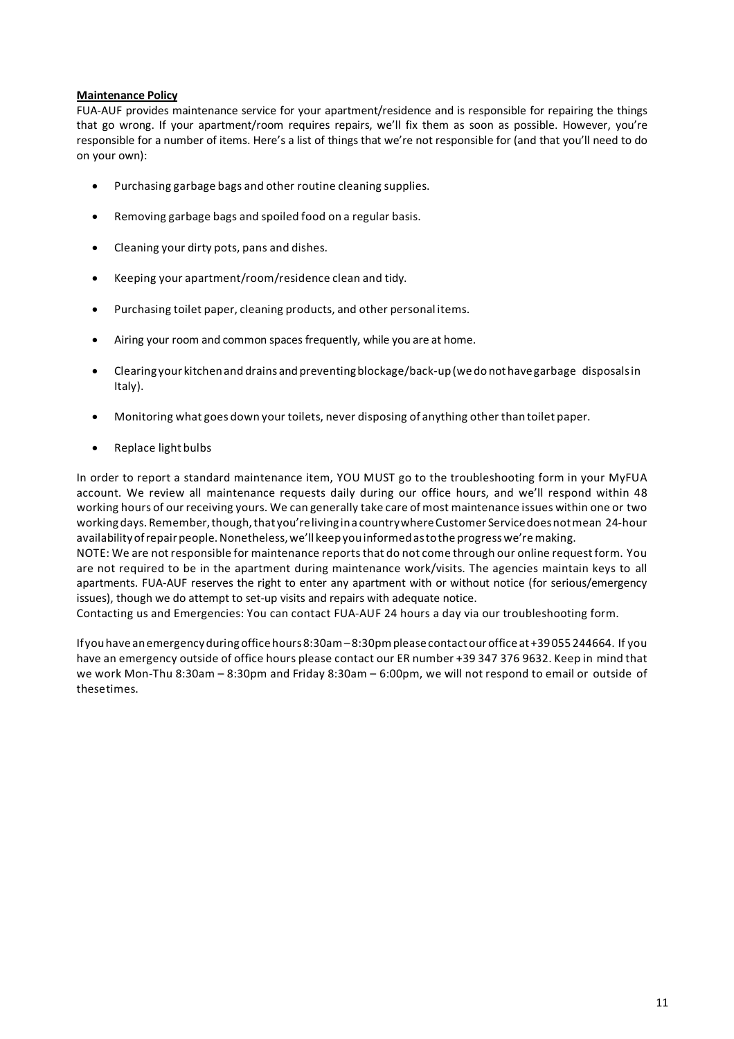### **Maintenance Policy**

FUA-AUF provides maintenance service for your apartment/residence and is responsible for repairing the things that go wrong. If your apartment/room requires repairs, we'll fix them as soon as possible. However, you're responsible for a number of items. Here's a list of things that we're not responsible for (and that you'll need to do on your own):

- Purchasing garbage bags and other routine cleaning supplies.
- Removing garbage bags and spoiled food on a regular basis.
- Cleaning your dirty pots, pans and dishes.
- Keeping your apartment/room/residence clean and tidy.
- Purchasing toilet paper, cleaning products, and other personal items.
- Airing your room and common spaces frequently, while you are at home.
- Clearing your kitchenand drains and preventingblockage/back-up(wedo nothavegarbage disposalsin Italy).
- Monitoring what goes down your toilets, never disposing of anything other than toilet paper.
- Replace light bulbs

In order to report a standard maintenance item, YOU MUST go to the troubleshooting form in your MyFUA account. We review all maintenance requests daily during our office hours, and we'll respond within 48 working hours of our receiving yours. We can generally take care of most maintenance issues within one or two workingdays. Remember,though,that you'reliving ina countrywhereCustomer Servicedoesnotmean 24-hour availability of repair people. Nonetheless, we'll keep you informed as to the progress we're making.

NOTE: We are notresponsible for maintenance reportsthat do not come through our online requestform. You are not required to be in the apartment during maintenance work/visits. The agencies maintain keys to all apartments. FUA-AUF reserves the right to enter any apartment with or without notice (for serious/emergency issues), though we do attempt to set-up visits and repairs with adequate notice.

Contacting us and Emergencies: You can contact FUA-AUF 24 hours a day via our troubleshooting form.

Ifyouhaveanemergencyduringofficehours8:30am–8:30pmpleasecontactourofficeat+39055 244664. If you have an emergency outside of office hours please contact our ER number +39 347 376 9632. Keep in mind that we work Mon-Thu 8:30am – 8:30pm and Friday 8:30am – 6:00pm, we will not respond to email or outside of thesetimes.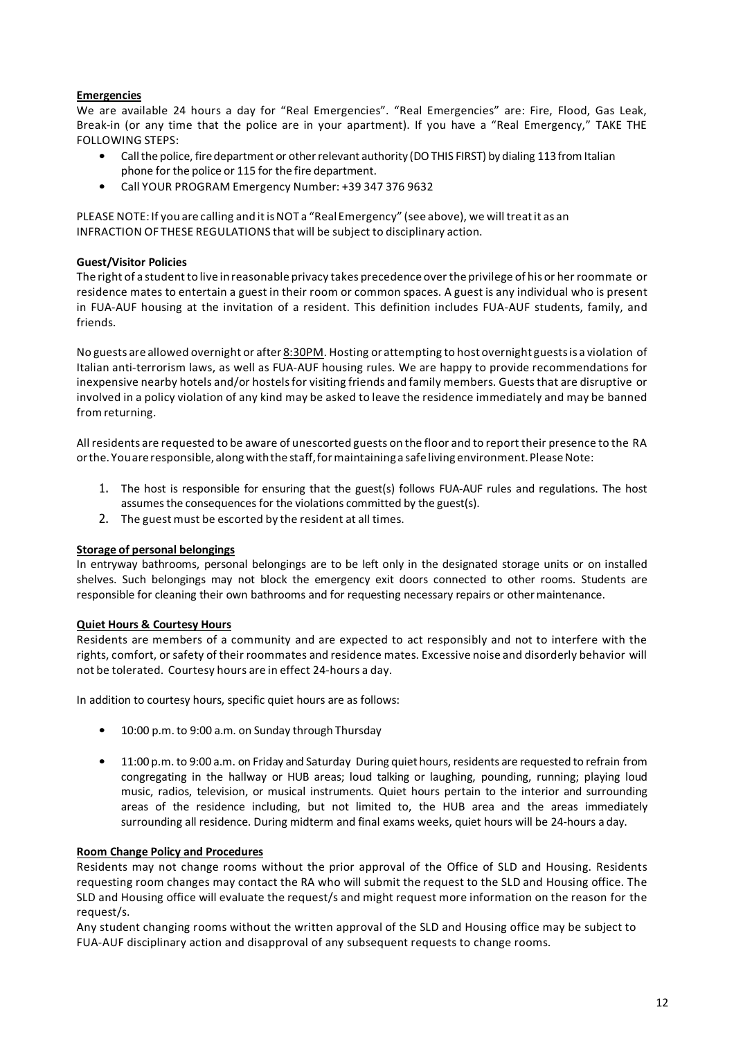## **Emergencies**

We are available 24 hours a day for "Real Emergencies". "Real Emergencies" are: Fire, Flood, Gas Leak, Break-in (or any time that the police are in your apartment). If you have a "Real Emergency," TAKE THE FOLLOWING STEPS:

- Call the police, fire department or other relevant authority (DO THIS FIRST) by dialing 113 from Italian phone for the police or 115 for the fire department.
- Call YOUR PROGRAM Emergency Number: +39 347 376 9632

PLEASE NOTE: If you are calling and it is NOT a "Real Emergency" (see above), we will treat it as an INFRACTION OF THESE REGULATIONS that will be subject to disciplinary action.

## **Guest/Visitor Policies**

The right of a student to live in reasonable privacy takes precedence over the privilege of his or her roommate or residence mates to entertain a guest in their room or common spaces. A guest is any individual who is present in FUA-AUF housing at the invitation of a resident. This definition includes FUA-AUF students, family, and friends.

No guests are allowed overnight or after 8:30PM. Hosting or attempting to host overnight guestsis a violation of Italian anti-terrorism laws, as well as FUA-AUF housing rules. We are happy to provide recommendations for inexpensive nearby hotels and/or hostels for visiting friends and family members. Guests that are disruptive or involved in a policy violation of any kind may be asked to leave the residence immediately and may be banned fromreturning.

All residents are requested to be aware of unescorted guests on the floor and to report their presence to the RA or the. You are responsible, along with the staff, for maintaining a safe living environment. Please Note:

- 1. The host is responsible for ensuring that the guest(s) follows FUA-AUF rules and regulations. The host assumes the consequences for the violations committed by the guest(s).
- 2. The guest must be escorted by the resident at all times.

## **Storage of personal belongings**

In entryway bathrooms, personal belongings are to be left only in the designated storage units or on installed shelves. Such belongings may not block the emergency exit doors connected to other rooms. Students are responsible for cleaning their own bathrooms and for requesting necessary repairs or othermaintenance.

## **Quiet Hours & Courtesy Hours**

Residents are members of a community and are expected to act responsibly and not to interfere with the rights, comfort, or safety of their roommates and residence mates. Excessive noise and disorderly behavior will not be tolerated. Courtesy hours are in effect 24-hours a day.

In addition to courtesy hours, specific quiet hours are as follows:

- 10:00 p.m. to 9:00 a.m. on Sunday through Thursday
- 11:00 p.m. to 9:00 a.m. on Friday and Saturday During quiet hours, residents are requested to refrain from congregating in the hallway or HUB areas; loud talking or laughing, pounding, running; playing loud music, radios, television, or musical instruments. Quiet hours pertain to the interior and surrounding areas of the residence including, but not limited to, the HUB area and the areas immediately surrounding all residence. During midterm and final exams weeks, quiet hours will be 24-hours a day.

#### **Room Change Policy and Procedures**

Residents may not change rooms without the prior approval of the Office of SLD and Housing. Residents requesting room changes may contact the RA who will submit the request to the SLD and Housing office. The SLD and Housing office will evaluate the request/s and might request more information on the reason for the request/s.

Any student changing rooms without the written approval of the SLD and Housing office may be subject to FUA-AUF disciplinary action and disapproval of any subsequent requests to change rooms.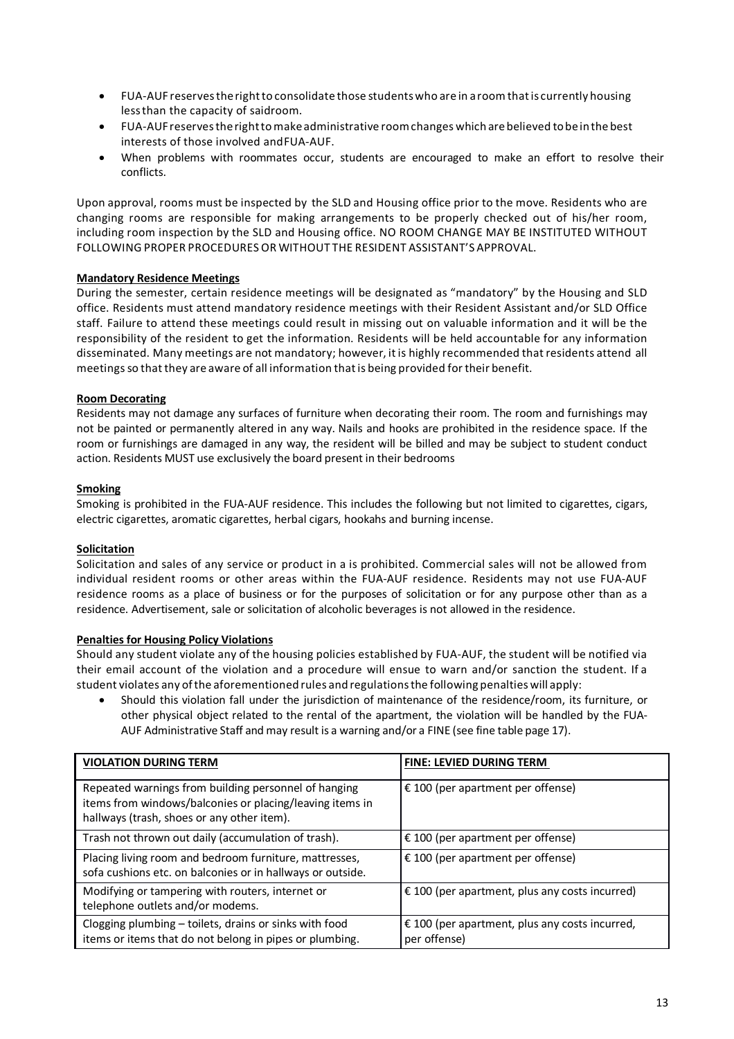- FUA-AUF reservestherightto consolidate those studentswho are in aroomthatis currently housing lessthan the capacity of saidroom.
- FUA-AUFreservestherighttomakeadministrative roomchanges which arebelieved tobeinthe best interests of those involved andFUA-AUF.
- When problems with roommates occur, students are encouraged to make an effort to resolve their conflicts.

Upon approval, rooms must be inspected by the SLD and Housing office prior to the move. Residents who are changing rooms are responsible for making arrangements to be properly checked out of his/her room, including room inspection by the SLD and Housing office. NO ROOM CHANGE MAY BE INSTITUTED WITHOUT FOLLOWING PROPER PROCEDURESOR WITHOUT THE RESIDENT ASSISTANT'S APPROVAL.

# **Mandatory Residence Meetings**

During the semester, certain residence meetings will be designated as "mandatory" by the Housing and SLD office. Residents must attend mandatory residence meetings with their Resident Assistant and/or SLD Office staff. Failure to attend these meetings could result in missing out on valuable information and it will be the responsibility of the resident to get the information. Residents will be held accountable for any information disseminated. Many meetings are not mandatory; however, itis highly recommended that residents attend all meetings so that they are aware of all information that is being provided for their benefit.

## **Room Decorating**

Residents may not damage any surfaces of furniture when decorating their room. The room and furnishings may not be painted or permanently altered in any way. Nails and hooks are prohibited in the residence space. If the room or furnishings are damaged in any way, the resident will be billed and may be subject to student conduct action. Residents MUST use exclusively the board present in their bedrooms

## **Smoking**

Smoking is prohibited in the FUA-AUF residence. This includes the following but not limited to cigarettes, cigars, electric cigarettes, aromatic cigarettes, herbal cigars, hookahs and burning incense.

## **Solicitation**

Solicitation and sales of any service or product in a is prohibited. Commercial sales will not be allowed from individual resident rooms or other areas within the FUA-AUF residence. Residents may not use FUA-AUF residence rooms as a place of business or for the purposes of solicitation or for any purpose other than as a residence. Advertisement, sale or solicitation of alcoholic beverages is not allowed in the residence.

## **Penalties for Housing Policy Violations**

Should any student violate any of the housing policies established by FUA-AUF, the student will be notified via their email account of the violation and a procedure will ensue to warn and/or sanction the student. If a student violates any ofthe aforementioned rules and regulationsthe following penalties will apply:

• Should this violation fall under the jurisdiction of maintenance of the residence/room, its furniture, or other physical object related to the rental of the apartment, the violation will be handled by the FUA-AUF Administrative Staff and may result is a warning and/or a FINE (see fine table page 17).

| <b>VIOLATION DURING TERM</b>                                                                                                                                   | <b>FINE: LEVIED DURING TERM</b>                                |
|----------------------------------------------------------------------------------------------------------------------------------------------------------------|----------------------------------------------------------------|
| Repeated warnings from building personnel of hanging<br>items from windows/balconies or placing/leaving items in<br>hallways (trash, shoes or any other item). | € 100 (per apartment per offense)                              |
| Trash not thrown out daily (accumulation of trash).                                                                                                            | € 100 (per apartment per offense)                              |
| Placing living room and bedroom furniture, mattresses,<br>sofa cushions etc. on balconies or in hallways or outside.                                           | € 100 (per apartment per offense)                              |
| Modifying or tampering with routers, internet or<br>telephone outlets and/or modems.                                                                           | $\epsilon$ 100 (per apartment, plus any costs incurred)        |
| Clogging plumbing - toilets, drains or sinks with food<br>items or items that do not belong in pipes or plumbing.                                              | € 100 (per apartment, plus any costs incurred,<br>per offense) |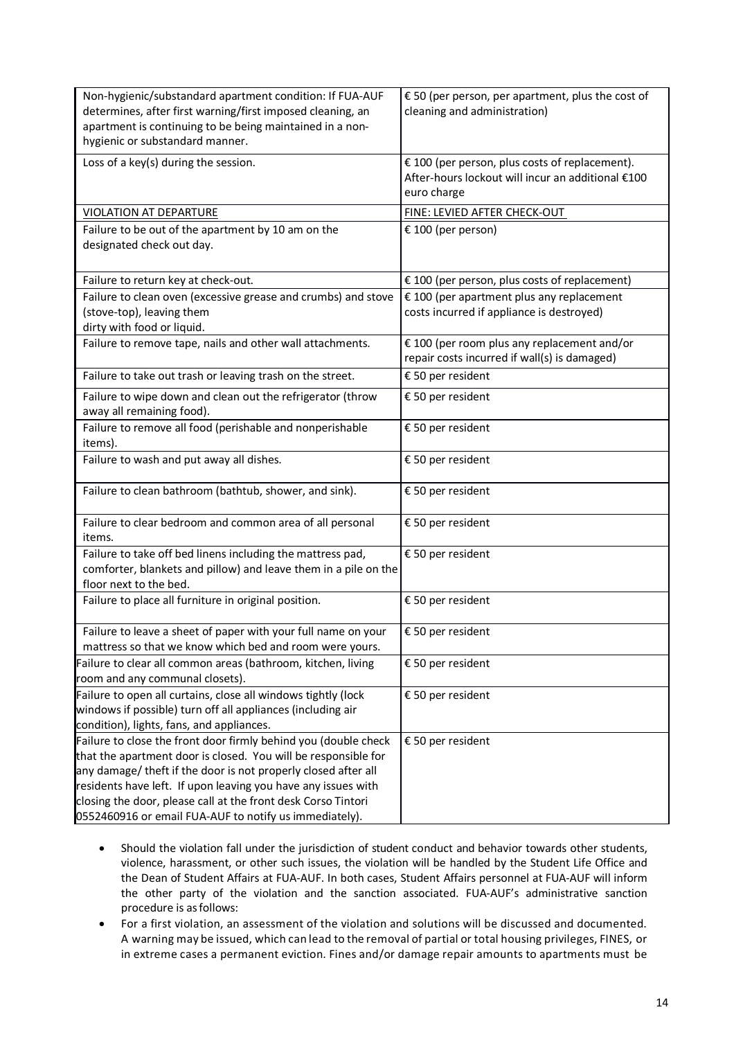| Non-hygienic/substandard apartment condition: If FUA-AUF<br>determines, after first warning/first imposed cleaning, an<br>apartment is continuing to be being maintained in a non-<br>hygienic or substandard manner.                                                                                                                                                                           | € 50 (per person, per apartment, plus the cost of<br>cleaning and administration)                                  |
|-------------------------------------------------------------------------------------------------------------------------------------------------------------------------------------------------------------------------------------------------------------------------------------------------------------------------------------------------------------------------------------------------|--------------------------------------------------------------------------------------------------------------------|
| Loss of a key(s) during the session.                                                                                                                                                                                                                                                                                                                                                            | € 100 (per person, plus costs of replacement).<br>After-hours lockout will incur an additional €100<br>euro charge |
| <b>VIOLATION AT DEPARTURE</b>                                                                                                                                                                                                                                                                                                                                                                   | FINE: LEVIED AFTER CHECK-OUT                                                                                       |
| Failure to be out of the apartment by 10 am on the<br>designated check out day.                                                                                                                                                                                                                                                                                                                 | € 100 (per person)                                                                                                 |
| Failure to return key at check-out.                                                                                                                                                                                                                                                                                                                                                             | € 100 (per person, plus costs of replacement)                                                                      |
| Failure to clean oven (excessive grease and crumbs) and stove<br>(stove-top), leaving them<br>dirty with food or liquid.                                                                                                                                                                                                                                                                        | € 100 (per apartment plus any replacement<br>costs incurred if appliance is destroyed)                             |
| Failure to remove tape, nails and other wall attachments.                                                                                                                                                                                                                                                                                                                                       | € 100 (per room plus any replacement and/or<br>repair costs incurred if wall(s) is damaged)                        |
| Failure to take out trash or leaving trash on the street.                                                                                                                                                                                                                                                                                                                                       | € 50 per resident                                                                                                  |
| Failure to wipe down and clean out the refrigerator (throw<br>away all remaining food).                                                                                                                                                                                                                                                                                                         | € 50 per resident                                                                                                  |
| Failure to remove all food (perishable and nonperishable<br>items).                                                                                                                                                                                                                                                                                                                             | € 50 per resident                                                                                                  |
| Failure to wash and put away all dishes.                                                                                                                                                                                                                                                                                                                                                        | € 50 per resident                                                                                                  |
| Failure to clean bathroom (bathtub, shower, and sink).                                                                                                                                                                                                                                                                                                                                          | € 50 per resident                                                                                                  |
| Failure to clear bedroom and common area of all personal<br>items.                                                                                                                                                                                                                                                                                                                              | € 50 per resident                                                                                                  |
| Failure to take off bed linens including the mattress pad,<br>comforter, blankets and pillow) and leave them in a pile on the<br>floor next to the bed.                                                                                                                                                                                                                                         | € 50 per resident                                                                                                  |
| Failure to place all furniture in original position.                                                                                                                                                                                                                                                                                                                                            | € 50 per resident                                                                                                  |
| Failure to leave a sheet of paper with your full name on your<br>mattress so that we know which bed and room were yours.                                                                                                                                                                                                                                                                        | € 50 per resident                                                                                                  |
| Failure to clear all common areas (bathroom, kitchen, living<br>room and any communal closets).                                                                                                                                                                                                                                                                                                 | € 50 per resident                                                                                                  |
| Failure to open all curtains, close all windows tightly (lock<br>windows if possible) turn off all appliances (including air<br>condition), lights, fans, and appliances.                                                                                                                                                                                                                       | € 50 per resident                                                                                                  |
| Failure to close the front door firmly behind you (double check<br>that the apartment door is closed. You will be responsible for<br>any damage/ theft if the door is not properly closed after all<br>residents have left. If upon leaving you have any issues with<br>closing the door, please call at the front desk Corso Tintori<br>0552460916 or email FUA-AUF to notify us immediately). | € 50 per resident                                                                                                  |

- Should the violation fall under the jurisdiction of student conduct and behavior towards other students, violence, harassment, or other such issues, the violation will be handled by the Student Life Office and the Dean of Student Affairs at FUA-AUF. In both cases, Student Affairs personnel at FUA-AUF will inform the other party of the violation and the sanction associated. FUA-AUF's administrative sanction procedure is asfollows:
- For a first violation, an assessment of the violation and solutions will be discussed and documented. A warning may be issued, which can lead to the removal of partial or total housing privileges, FINES, or in extreme cases a permanent eviction. Fines and/or damage repair amounts to apartments must be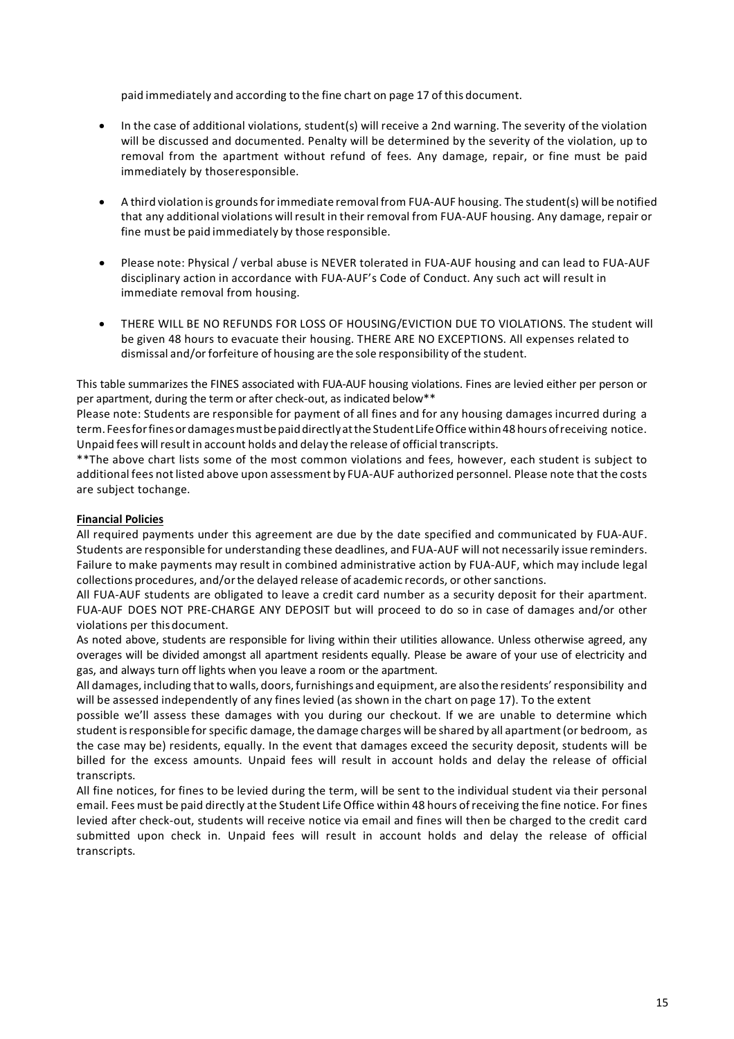paid immediately and according to the fine chart on page 17 of this document.

- In the case of additional violations, student(s) will receive a 2nd warning. The severity of the violation will be discussed and documented. Penalty will be determined by the severity of the violation, up to removal from the apartment without refund of fees. Any damage, repair, or fine must be paid immediately by thoseresponsible.
- A third violation is groundsfor immediate removalfrom FUA-AUF housing. The student(s) will be notified that any additional violations will result in their removal from FUA-AUF housing. Any damage, repair or fine must be paid immediately by those responsible.
- Please note: Physical / verbal abuse is NEVER tolerated in FUA-AUF housing and can lead to FUA-AUF disciplinary action in accordance with FUA-AUF's Code of Conduct. Any such act will result in immediate removal from housing.
- THERE WILL BE NO REFUNDS FOR LOSS OF HOUSING/EVICTION DUE TO VIOLATIONS. The student will be given 48 hours to evacuate their housing. THERE ARE NO EXCEPTIONS. All expenses related to dismissal and/or forfeiture of housing are the sole responsibility of the student.

This table summarizes the FINES associated with FUA-AUF housing violations. Fines are levied either per person or per apartment, during the term or after check-out, as indicated below\*\*

Please note: Students are responsible for payment of all fines and for any housing damages incurred during a term. Feesforfinesordamagesmustbepaiddirectlyatthe StudentLifeOffice within48 hours ofreceiving notice. Unpaid fees will resultin account holds and delay the release of official transcripts.

\*\*The above chart lists some of the most common violations and fees, however, each student is subject to additional fees not listed above upon assessment by FUA-AUF authorized personnel. Please note that the costs are subject tochange.

## **Financial Policies**

All required payments under this agreement are due by the date specified and communicated by FUA-AUF. Students are responsible for understanding these deadlines, and FUA-AUF will not necessarily issue reminders. Failure to make payments may result in combined administrative action by FUA-AUF, which may include legal collections procedures, and/orthe delayed release of academic records, or othersanctions.

All FUA-AUF students are obligated to leave a credit card number as a security deposit for their apartment. FUA-AUF DOES NOT PRE-CHARGE ANY DEPOSIT but will proceed to do so in case of damages and/or other violations per thisdocument.

As noted above, students are responsible for living within their utilities allowance. Unless otherwise agreed, any overages will be divided amongst all apartment residents equally. Please be aware of your use of electricity and gas, and always turn off lights when you leave a room or the apartment.

All damages, including thatto walls, doors, furnishings and equipment, are also the residents'responsibility and will be assessed independently of any fines levied (as shown in the chart on page 17). To the extent

possible we'll assess these damages with you during our checkout. If we are unable to determine which student isresponsible for specific damage, the damage charges will be shared by all apartment(or bedroom, as the case may be) residents, equally. In the event that damages exceed the security deposit, students will be billed for the excess amounts. Unpaid fees will result in account holds and delay the release of official transcripts.

All fine notices, for fines to be levied during the term, will be sent to the individual student via their personal email. Fees must be paid directly atthe Student Life Office within 48 hours ofreceiving the fine notice. For fines levied after check-out, students will receive notice via email and fines will then be charged to the credit card submitted upon check in. Unpaid fees will result in account holds and delay the release of official transcripts.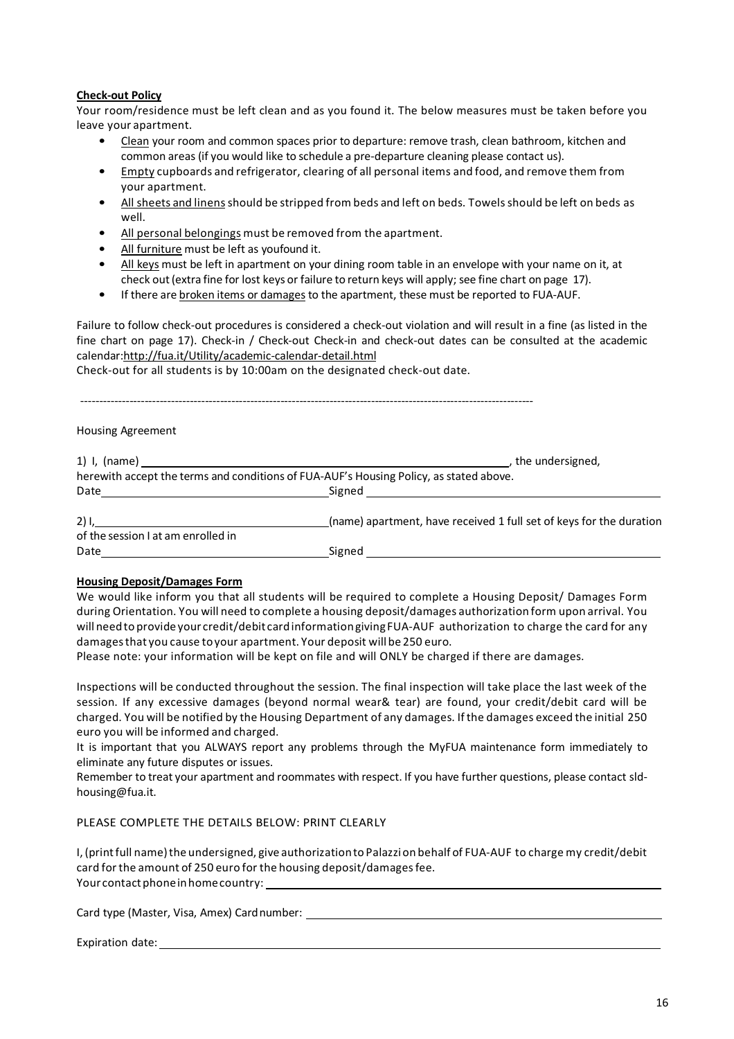### **Check-out Policy**

Your room/residence must be left clean and as you found it. The below measures must be taken before you leave your apartment.

- Clean your room and common spaces prior to departure: remove trash, clean bathroom, kitchen and common areas (if you would like to schedule a pre-departure cleaning please contact us).
- Empty cupboards and refrigerator, clearing of all personal items and food, and remove them from your apartment.
- All sheets and linens should be stripped from beds and left on beds. Towels should be left on beds as well.
- All personal belongings must be removed from the apartment.
- All furniture must be left as youfound it.
- All keys must be left in apartment on your dining room table in an envelope with your name on it, at check out (extra fine for lost keys or failure to return keys will apply; see fine chart on page 17).
- If there are broken items or damages to the apartment, these must be reported to FUA-AUF.

Failure to follow check-out procedures is considered a check-out violation and will result in a fine (as listed in the fine chart on page 17). Check-in / Check-out Check-in and check-out dates can be consulted at the academic calendar:http://fua.it/Utility/academic-calendar-detail.html

Check-out for all students is by 10:00am on the designated check-out date.

| <b>Housing Agreement</b>                                                                                                                                                                                                                                                                                                       |                                                                                                                                 |
|--------------------------------------------------------------------------------------------------------------------------------------------------------------------------------------------------------------------------------------------------------------------------------------------------------------------------------|---------------------------------------------------------------------------------------------------------------------------------|
|                                                                                                                                                                                                                                                                                                                                | , the undersigned,                                                                                                              |
|                                                                                                                                                                                                                                                                                                                                | herewith accept the terms and conditions of FUA-AUF's Housing Policy, as stated above.                                          |
| Date <u>__________________________</u>                                                                                                                                                                                                                                                                                         | Signed<br><u>and the state of the state of the state of the state of the state of the state of the state of the state of th</u> |
| $2)$ l, the set of $\overline{a}$ and $\overline{a}$ and $\overline{a}$ and $\overline{a}$ and $\overline{a}$ and $\overline{a}$ and $\overline{a}$ and $\overline{a}$ and $\overline{a}$ and $\overline{a}$ and $\overline{a}$ and $\overline{a}$ and $\overline{a}$ and $\overline{a}$ and $\overline{a}$ and $\overline{a}$ | (name) apartment, have received 1 full set of keys for the duration                                                             |
| of the session I at am enrolled in                                                                                                                                                                                                                                                                                             |                                                                                                                                 |
| Date                                                                                                                                                                                                                                                                                                                           | Signed                                                                                                                          |

## **Housing Deposit/Damages Form**

We would like inform you that all students will be required to complete a Housing Deposit/ Damages Form during Orientation. You will need to complete a housing deposit/damages authorization form upon arrival. You will needto provideyour credit/debit cardinformationgiving FUA-AUF authorization to charge the card for any damagesthat you cause toyour apartment. Your deposit willbe 250 euro.

Please note: your information will be kept on file and will ONLY be charged if there are damages.

Inspections will be conducted throughout the session. The final inspection will take place the last week of the session. If any excessive damages (beyond normal wear& tear) are found, your credit/debit card will be charged. You will be notified by the Housing Department of any damages. If the damages exceed the initial 250 euro you will be informed and charged.

It is important that you ALWAYS report any problems through the MyFUA maintenance form immediately to eliminate any future disputes or issues.

Remember to treat your apartment and roommates with respect. If you have further questions, please contact sldhousing@fua.it.

## PLEASE COMPLETE THE DETAILS BELOW: PRINT CLEARLY

I, (printfull name)the undersigned, give authorizationto Palazzion behalf of FUA-AUF to charge my credit/debit card for the amount of 250 euro for the housing deposit/damagesfee. Your contact phone in home country:

Card type (Master, Visa, Amex) Cardnumber:

# Expiration date: The set of the set of the set of the set of the set of the set of the set of the set of the set of the set of the set of the set of the set of the set of the set of the set of the set of the set of the set